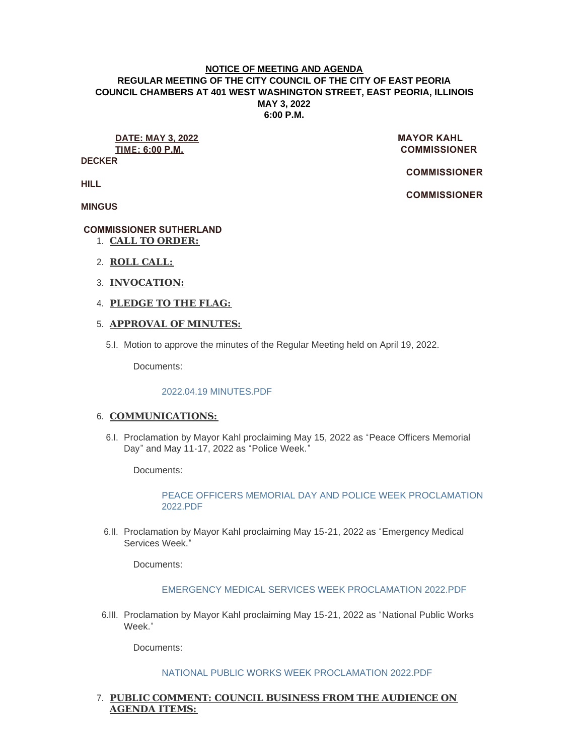#### **NOTICE OF MEETING AND AGENDA REGULAR MEETING OF THE CITY COUNCIL OF THE CITY OF EAST PEORIA COUNCIL CHAMBERS AT 401 WEST WASHINGTON STREET, EAST PEORIA, ILLINOIS MAY 3, 2022 6:00 P.M.**

# **DATE: MAY 3, 2022 MAYOR KAHL**

**DECKER**

**TIME: 6:00 P.M. COMMISSIONER** 

 **COMMISSIONER** 

 **COMMISSIONER** 

**HILL**

**MINGUS**

# **COMMISSIONER SUTHERLAND**

- **CALL TO ORDER:** 1.
- **ROLL CALL:** 2.
- **INVOCATION:** 3.
- **PLEDGE TO THE FLAG:** 4.

# **APPROVAL OF MINUTES:** 5.

Motion to approve the minutes of the Regular Meeting held on April 19, 2022. 5.I.

Documents:

## [2022.04.19 MINUTES.PDF](https://www.cityofeastpeoria.com/AgendaCenter/ViewFile/Item/4352?fileID=29679)

# 6. COMMUNICATIONS:

6.I. Proclamation by Mayor Kahl proclaiming May 15, 2022 as "Peace Officers Memorial Day" and May 11-17, 2022 as "Police Week."

Documents:

# [PEACE OFFICERS MEMORIAL DAY AND POLICE WEEK PROCLAMATION](https://www.cityofeastpeoria.com/AgendaCenter/ViewFile/Item/4376?fileID=29704)  2022.PDF

6.II. Proclamation by Mayor Kahl proclaiming May 15-21, 2022 as "Emergency Medical Services Week<sup>"</sup>

Documents:

## [EMERGENCY MEDICAL SERVICES WEEK PROCLAMATION 2022.PDF](https://www.cityofeastpeoria.com/AgendaCenter/ViewFile/Item/4353?fileID=29680)

6.III. Proclamation by Mayor Kahl proclaiming May 15-21, 2022 as "National Public Works Week<sup>"</sup>

Documents:

## [NATIONAL PUBLIC WORKS WEEK PROCLAMATION 2022.PDF](https://www.cityofeastpeoria.com/AgendaCenter/ViewFile/Item/4354?fileID=29681)

# **PUBLIC COMMENT: COUNCIL BUSINESS FROM THE AUDIENCE ON**  7. **AGENDA ITEMS:**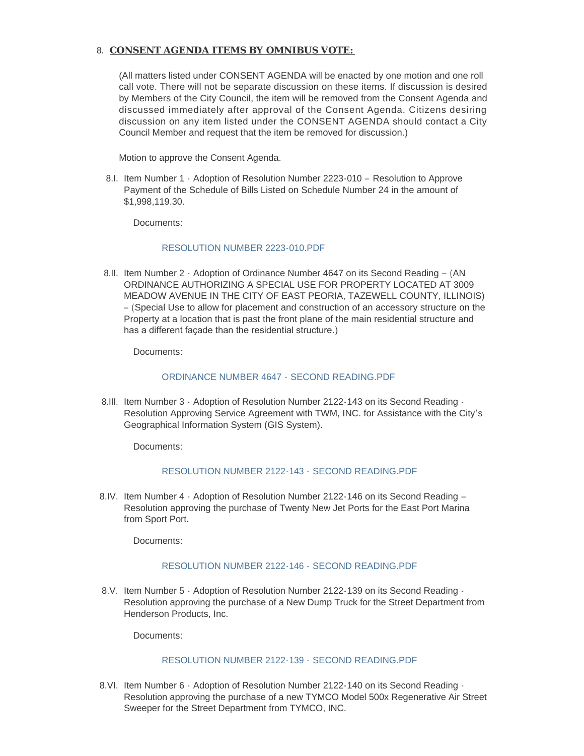## **CONSENT AGENDA ITEMS BY OMNIBUS VOTE:**  8.

(All matters listed under CONSENT AGENDA will be enacted by one motion and one roll call vote. There will not be separate discussion on these items. If discussion is desired by Members of the City Council, the item will be removed from the Consent Agenda and discussed immediately after approval of the Consent Agenda. Citizens desiring discussion on any item listed under the CONSENT AGENDA should contact a City Council Member and request that the item be removed for discussion.)

Motion to approve the Consent Agenda.

8.I. Item Number 1 - Adoption of Resolution Number 2223-010 - Resolution to Approve Payment of the Schedule of Bills Listed on Schedule Number 24 in the amount of \$1,998,119.30.

Documents:

#### [RESOLUTION NUMBER 2223-010.PDF](https://www.cityofeastpeoria.com/AgendaCenter/ViewFile/Item/4355?fileID=29682)

8.II. Item Number 2 - Adoption of Ordinance Number 4647 on its Second Reading - (AN ORDINANCE AUTHORIZING A SPECIAL USE FOR PROPERTY LOCATED AT 3009 MEADOW AVENUE IN THE CITY OF EAST PEORIA, TAZEWELL COUNTY, ILLINOIS) – (Special Use to allow for placement and construction of an accessory structure on the Property at a location that is past the front plane of the main residential structure and has a different façade than the residential structure.)

Documents:

#### [ORDINANCE NUMBER 4647 -](https://www.cityofeastpeoria.com/AgendaCenter/ViewFile/Item/4356?fileID=29683) SECOND READING.PDF

8.III. Item Number 3 - Adoption of Resolution Number 2122-143 on its Second Reading -Resolution Approving Service Agreement with TWM, INC. for Assistance with the City's Geographical Information System (GIS System).

Documents:

## [RESOLUTION NUMBER 2122-143 -](https://www.cityofeastpeoria.com/AgendaCenter/ViewFile/Item/4357?fileID=29684) SECOND READING.PDF

8.IV. Item Number 4 - Adoption of Resolution Number 2122-146 on its Second Reading -Resolution approving the purchase of Twenty New Jet Ports for the East Port Marina from Sport Port.

Documents:

## [RESOLUTION NUMBER 2122-146 -](https://www.cityofeastpeoria.com/AgendaCenter/ViewFile/Item/4358?fileID=29685) SECOND READING.PDF

8.V. Item Number 5 - Adoption of Resolution Number 2122-139 on its Second Reading -Resolution approving the purchase of a New Dump Truck for the Street Department from Henderson Products, Inc.

Documents:

## [RESOLUTION NUMBER 2122-139 -](https://www.cityofeastpeoria.com/AgendaCenter/ViewFile/Item/4359?fileID=29686) SECOND READING.PDF

8.VI. Item Number 6 - Adoption of Resolution Number 2122-140 on its Second Reading -Resolution approving the purchase of a new TYMCO Model 500x Regenerative Air Street Sweeper for the Street Department from TYMCO, INC.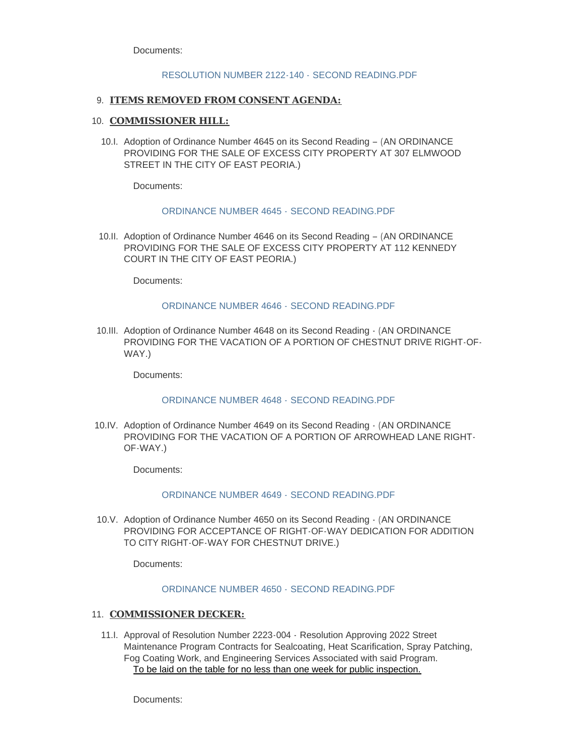Documents:

#### [RESOLUTION NUMBER 2122-140 -](https://www.cityofeastpeoria.com/AgendaCenter/ViewFile/Item/4360?fileID=29687) SECOND READING.PDF

#### **ITEMS REMOVED FROM CONSENT AGENDA:** 9.

#### 10. **COMMISSIONER HILL:**

10.I. Adoption of Ordinance Number 4645 on its Second Reading - (AN ORDINANCE) PROVIDING FOR THE SALE OF EXCESS CITY PROPERTY AT 307 ELMWOOD STREET IN THE CITY OF EAST PEORIA.)

Documents:

#### [ORDINANCE NUMBER 4645 -](https://www.cityofeastpeoria.com/AgendaCenter/ViewFile/Item/4361?fileID=29688) SECOND READING.PDF

10.II. Adoption of Ordinance Number 4646 on its Second Reading - (AN ORDINANCE) PROVIDING FOR THE SALE OF EXCESS CITY PROPERTY AT 112 KENNEDY COURT IN THE CITY OF EAST PEORIA.)

Documents:

#### [ORDINANCE NUMBER 4646 -](https://www.cityofeastpeoria.com/AgendaCenter/ViewFile/Item/4362?fileID=29689) SECOND READING.PDF

10.III. Adoption of Ordinance Number 4648 on its Second Reading  $\cdot$  (AN ORDINANCE PROVIDING FOR THE VACATION OF A PORTION OF CHESTNUT DRIVE RIGHT-OF-WAY.)

Documents:

## [ORDINANCE NUMBER 4648 -](https://www.cityofeastpeoria.com/AgendaCenter/ViewFile/Item/4363?fileID=29690) SECOND READING.PDF

10.IV. Adoption of Ordinance Number 4649 on its Second Reading  $\cdot$  (AN ORDINANCE PROVIDING FOR THE VACATION OF A PORTION OF ARROWHEAD LANE RIGHT-OF-WAY.)

Documents:

## [ORDINANCE NUMBER 4649 -](https://www.cityofeastpeoria.com/AgendaCenter/ViewFile/Item/4364?fileID=29691) SECOND READING.PDF

10.V. Adoption of Ordinance Number 4650 on its Second Reading  $\cdot$  (AN ORDINANCE PROVIDING FOR ACCEPTANCE OF RIGHT-OF-WAY DEDICATION FOR ADDITION TO CITY RIGHT-OF-WAY FOR CHESTNUT DRIVE.)

Documents:

#### [ORDINANCE NUMBER 4650 -](https://www.cityofeastpeoria.com/AgendaCenter/ViewFile/Item/4365?fileID=29692) SECOND READING.PDF

## 11. COMMISSIONER DECKER:

11.I. Approval of Resolution Number 2223-004 - Resolution Approving 2022 Street Maintenance Program Contracts for Sealcoating, Heat Scarification, Spray Patching, Fog Coating Work, and Engineering Services Associated with said Program. To be laid on the table for no less than one week for public inspection.

Documents: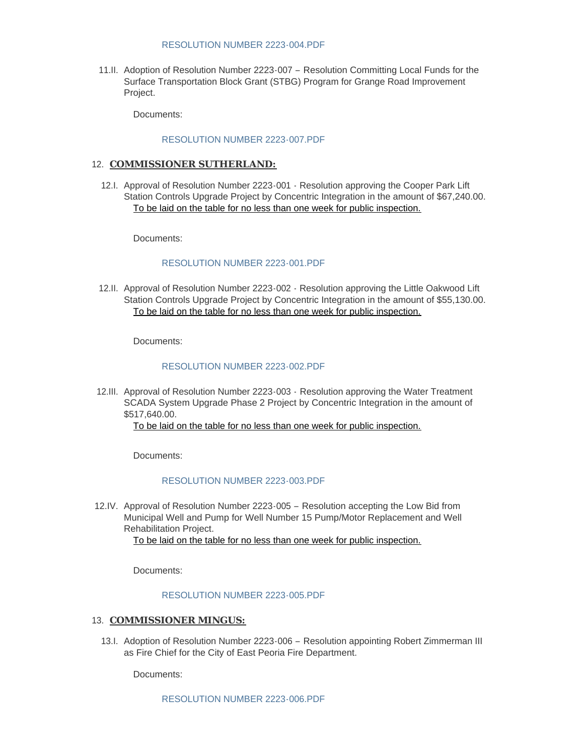#### [RESOLUTION NUMBER 2223-004.PDF](https://www.cityofeastpeoria.com/AgendaCenter/ViewFile/Item/4366?fileID=29693)

11.II. Adoption of Resolution Number 2223-007 - Resolution Committing Local Funds for the Surface Transportation Block Grant (STBG) Program for Grange Road Improvement Project.

Documents:

## [RESOLUTION NUMBER 2223-007.PDF](https://www.cityofeastpeoria.com/AgendaCenter/ViewFile/Item/4367?fileID=29694)

## 12. **COMMISSIONER SUTHERLAND:**

12.I. Approval of Resolution Number 2223-001 - Resolution approving the Cooper Park Lift Station Controls Upgrade Project by Concentric Integration in the amount of \$67,240.00. To be laid on the table for no less than one week for public inspection.

Documents:

# [RESOLUTION NUMBER 2223-001.PDF](https://www.cityofeastpeoria.com/AgendaCenter/ViewFile/Item/4368?fileID=29695)

12.II. Approval of Resolution Number 2223-002 - Resolution approving the Little Oakwood Lift Station Controls Upgrade Project by Concentric Integration in the amount of \$55,130.00. To be laid on the table for no less than one week for public inspection.

Documents:

#### [RESOLUTION NUMBER 2223-002.PDF](https://www.cityofeastpeoria.com/AgendaCenter/ViewFile/Item/4369?fileID=29696)

12.III. Approval of Resolution Number 2223-003 - Resolution approving the Water Treatment SCADA System Upgrade Phase 2 Project by Concentric Integration in the amount of \$517,640.00.

To be laid on the table for no less than one week for public inspection.

Documents:

## [RESOLUTION NUMBER 2223-003.PDF](https://www.cityofeastpeoria.com/AgendaCenter/ViewFile/Item/4370?fileID=29705)

12.IV. Approval of Resolution Number 2223-005 - Resolution accepting the Low Bid from Municipal Well and Pump for Well Number 15 Pump/Motor Replacement and Well Rehabilitation Project.

To be laid on the table for no less than one week for public inspection.

Documents:

## [RESOLUTION NUMBER 2223-005.PDF](https://www.cityofeastpeoria.com/AgendaCenter/ViewFile/Item/4371?fileID=29698)

## 13. **COMMISSIONER MINGUS:**

13.I. Adoption of Resolution Number 2223-006 - Resolution appointing Robert Zimmerman III as Fire Chief for the City of East Peoria Fire Department.

Documents: